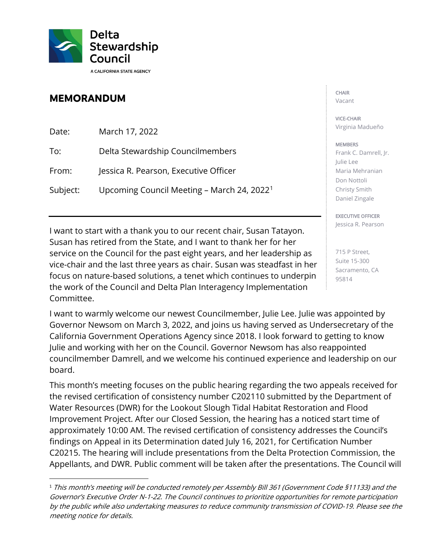

## **MEMORANDUM**

| Date:    | March 17, 2022                                         |
|----------|--------------------------------------------------------|
| To:      | Delta Stewardship Councilmembers                       |
| From:    | Jessica R. Pearson, Executive Officer                  |
| Subject: | Upcoming Council Meeting - March 24, 2022 <sup>1</sup> |

I want to start with a thank you to our recent chair, Susan Tatayon. Susan has retired from the State, and I want to thank her for her service on the Council for the past eight years, and her leadership as vice-chair and the last three years as chair. Susan was steadfast in her focus on nature-based solutions, a tenet which continues to underpin the work of the Council and Delta Plan Interagency Implementation Committee.

I want to warmly welcome our newest Councilmember, Julie Lee. Julie was appointed by Governor Newsom on March 3, 2022, and joins us having served as Undersecretary of the California Government Operations Agency since 2018. I look forward to getting to know Julie and working with her on the Council. Governor Newsom has also reappointed councilmember Damrell, and we welcome his continued experience and leadership on our board.

This month's meeting focuses on the public hearing regarding the two appeals received for the revised certification of consistency number C202110 submitted by the Department of Water Resources (DWR) for the Lookout Slough Tidal Habitat Restoration and Flood Improvement Project. After our Closed Session, the hearing has a noticed start time of approximately 10:00 AM. The revised certification of consistency addresses the Council's findings on Appeal in its Determination dated July 16, 2021, for Certification Number C20215. The hearing will include presentations from the Delta Protection Commission, the Appellants, and DWR. Public comment will be taken after the presentations. The Council will

## **CHAIR**

Vacant

## VICE-CHAIR Virginia Madueño

## **MEMBERS**

Frank C. Damrell, Jr. Julie Lee Maria Mehranian Don Nottoli Christy Smith Daniel Zingale

EXECUTIVE OFFICER Jessica R. Pearson

715 P Street, Suite 15-300 Sacramento, CA 95814

<span id="page-0-0"></span><sup>&</sup>lt;sup>1</sup> This month's meeting will be conducted remotely per Assembly Bill 361 (Government Code §11133) and the Governor's Executive Order N-1-22. The Council continues to prioritize opportunities for remote participation by the public while also undertaking measures to reduce community transmission of COVID-19. Please see the meeting notice for details.